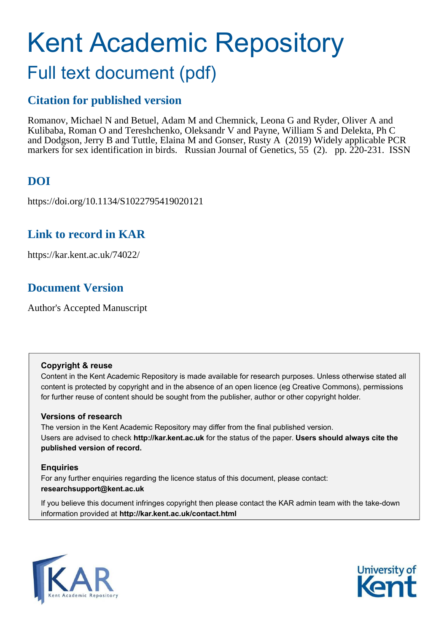# Kent Academic Repository Full text document (pdf)

# **Citation for published version**

Romanov, Michael N and Betuel, Adam M and Chemnick, Leona G and Ryder, Oliver A and Kulibaba, Roman O and Tereshchenko, Oleksandr V and Payne, William S and Delekta, Ph C and Dodgson, Jerry B and Tuttle, Elaina M and Gonser, Rusty A (2019) Widely applicable PCR markers for sex identification in birds. Russian Journal of Genetics, 55 (2). pp. 220-231. ISSN

# **DOI**

https://doi.org/10.1134/S1022795419020121

# **Link to record in KAR**

https://kar.kent.ac.uk/74022/

# **Document Version**

Author's Accepted Manuscript

### **Copyright & reuse**

Content in the Kent Academic Repository is made available for research purposes. Unless otherwise stated all content is protected by copyright and in the absence of an open licence (eg Creative Commons), permissions for further reuse of content should be sought from the publisher, author or other copyright holder.

### **Versions of research**

The version in the Kent Academic Repository may differ from the final published version. Users are advised to check **http://kar.kent.ac.uk** for the status of the paper. **Users should always cite the published version of record.**

### **Enquiries**

For any further enquiries regarding the licence status of this document, please contact: **researchsupport@kent.ac.uk**

If you believe this document infringes copyright then please contact the KAR admin team with the take-down information provided at **http://kar.kent.ac.uk/contact.html**



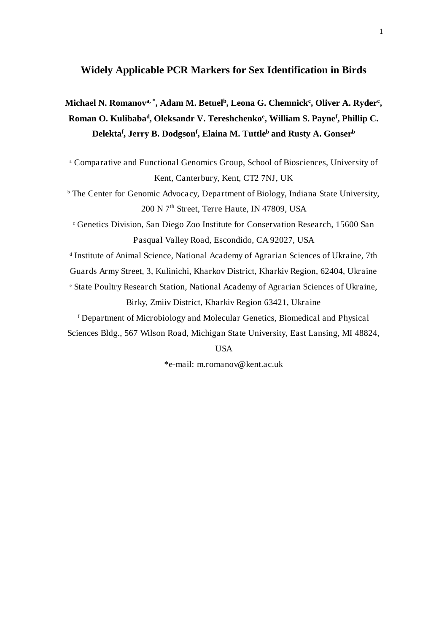# **Widely Applicable PCR Markers for Sex Identification in Birds**

# **Michael N. Romanov<sup>a</sup>, \*, Adam M. Betuel<sup>b</sup> , Leona G. Chemnick<sup>c</sup> , Oliver A. Ryder<sup>c</sup> , Roman O. Kulibaba<sup>d</sup> , Oleksandr V. Tereshchenko<sup>e</sup> , William S. Payne<sup>f</sup> , Phillip C. Delekta<sup>f</sup> , Jerry B. Dodgson<sup>f</sup> , Elaina M. Tuttle<sup>b</sup> and Rusty A. Gonser<sup>b</sup>**

a Comparative and Functional Genomics Group, School of Biosciences, University of Kent, Canterbury, Kent, CT2 7NJ, UK

b The Center for Genomic Advocacy, Department of Biology, Indiana State University, 200 N 7<sup>th</sup> Street, Terre Haute, IN 47809, USA

c Genetics Division, San Diego Zoo Institute for Conservation Research, 15600 San Pasqual Valley Road, Escondido, CA 92027, USA

d Institute of Animal Science, National Academy of Agrarian Sciences of Ukraine, 7th

Guards Army Street, 3, Kulinichi, Kharkov District, Kharkiv Region, 62404, Ukraine

e State Poultry Research Station, National Academy of Agrarian Sciences of Ukraine, Birky, Zmiiv District, Kharkiv Region 63421, Ukraine

f Department of Microbiology and Molecular Genetics, Biomedical and Physical Sciences Bldg., 567 Wilson Road, Michigan State University, East Lansing, MI 48824,

### USA

\*e-mail: m.romanov@kent.ac.uk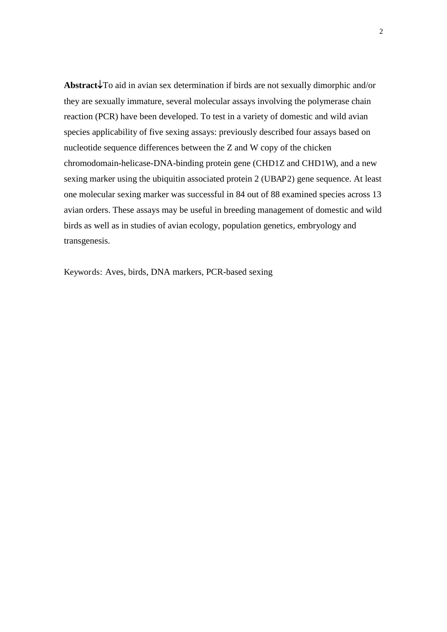**Abstract**↓To aid in avian sex determination if birds are not sexually dimorphic and/or they are sexually immature, several molecular assays involving the polymerase chain reaction (PCR) have been developed. To test in a variety of domestic and wild avian species applicability of five sexing assays: previously described four assays based on nucleotide sequence differences between the Z and W copy of the chicken chromodomain-helicase-DNA-binding protein gene (CHD1Z and CHD1W), and a new sexing marker using the ubiquitin associated protein 2 (UBAP2) gene sequence. At least one molecular sexing marker was successful in 84 out of 88 examined species across 13 avian orders. These assays may be useful in breeding management of domestic and wild birds as well as in studies of avian ecology, population genetics, embryology and transgenesis.

Keywords: Aves, birds, DNA markers, PCR-based sexing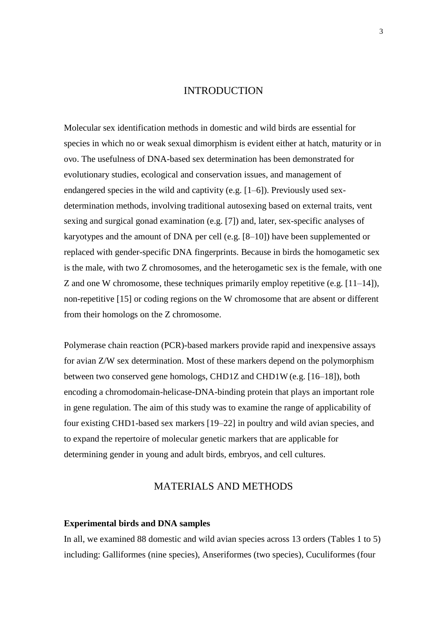### **INTRODUCTION**

Molecular sex identification methods in domestic and wild birds are essential for species in which no or weak sexual dimorphism is evident either at hatch, maturity or in ovo. The usefulness of DNA-based sex determination has been demonstrated for evolutionary studies, ecological and conservation issues, and management of endangered species in the wild and captivity (e.g. [1–6]). Previously used sexdetermination methods, involving traditional autosexing based on external traits, vent sexing and surgical gonad examination (e.g. [7]) and, later, sex-specific analyses of karyotypes and the amount of DNA per cell (e.g. [8–10]) have been supplemented or replaced with gender-specific DNA fingerprints. Because in birds the homogametic sex is the male, with two Z chromosomes, and the heterogametic sex is the female, with one Z and one W chromosome, these techniques primarily employ repetitive (e.g. [11–14]), non-repetitive [15] or coding regions on the W chromosome that are absent or different from their homologs on the Z chromosome.

Polymerase chain reaction (PCR)-based markers provide rapid and inexpensive assays for avian Z/W sex determination. Most of these markers depend on the polymorphism between two conserved gene homologs, CHD1Z and CHD1W (e.g. [16–18]), both encoding a chromodomain-helicase-DNA-binding protein that plays an important role in gene regulation. The aim of this study was to examine the range of applicability of four existing CHD1-based sex markers [19–22] in poultry and wild avian species, and to expand the repertoire of molecular genetic markers that are applicable for determining gender in young and adult birds, embryos, and cell cultures.

### MATERIALS AND METHODS

### **Experimental birds and DNA samples**

In all, we examined 88 domestic and wild avian species across 13 orders (Tables 1 to 5) including: Galliformes (nine species), Anseriformes (two species), Cuculiformes (four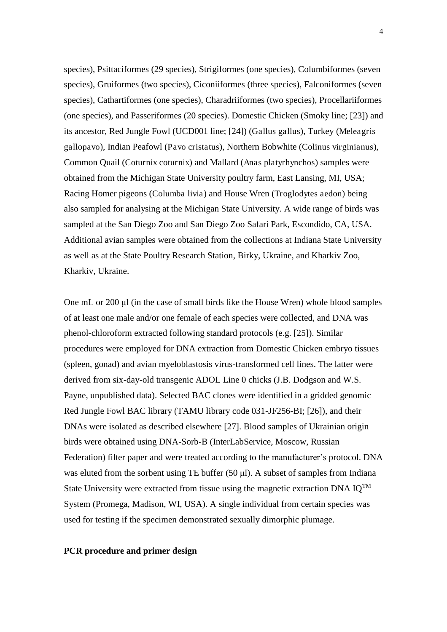species), Psittaciformes (29 species), Strigiformes (one species), Columbiformes (seven species), Gruiformes (two species), Ciconiiformes (three species), Falconiformes (seven species), Cathartiformes (one species), Charadriiformes (two species), Procellariiformes (one species), and Passeriformes (20 species). Domestic Chicken (Smoky line; [23]) and its ancestor, Red Jungle Fowl (UCD001 line; [24]) (Gallus gallus), Turkey (Meleagris gallopavo), Indian Peafowl (Pavo cristatus), Northern Bobwhite (Colinus virginianus), Common Quail (Coturnix coturnix) and Mallard (Anas platyrhynchos) samples were obtained from the Michigan State University poultry farm, East Lansing, MI, USA; Racing Homer pigeons (Columba livia) and House Wren (Troglodytes aedon) being also sampled for analysing at the Michigan State University. A wide range of birds was sampled at the San Diego Zoo and San Diego Zoo Safari Park, Escondido, CA, USA. Additional avian samples were obtained from the collections at Indiana State University as well as at the State Poultry Research Station, Birky, Ukraine, and Kharkiv Zoo, Kharkiv, Ukraine.

One mL or 200 µl (in the case of small birds like the House Wren) whole blood samples of at least one male and/or one female of each species were collected, and DNA was phenol-chloroform extracted following standard protocols (e.g. [25]). Similar procedures were employed for DNA extraction from Domestic Chicken embryo tissues (spleen, gonad) and avian myeloblastosis virus-transformed cell lines. The latter were derived from six-day-old transgenic ADOL Line 0 chicks (J.B. Dodgson and W.S. Payne, unpublished data). Selected BAC clones were identified in a gridded genomic Red Jungle Fowl BAC library (TAMU library code 031-JF256-BI; [26]), and their DNAs were isolated as described elsewhere [27]. Blood samples of Ukrainian origin birds were obtained using DNA-Sorb-B (InterLabService, Moscow, Russian Federation) filter paper and were treated according to the manufacturer's protocol. DNA was eluted from the sorbent using TE buffer  $(50 \mu l)$ . A subset of samples from Indiana State University were extracted from tissue using the magnetic extraction DNA  $IQ^{TM}$ System (Promega, Madison, WI, USA). A single individual from certain species was used for testing if the specimen demonstrated sexually dimorphic plumage.

### **PCR procedure and primer design**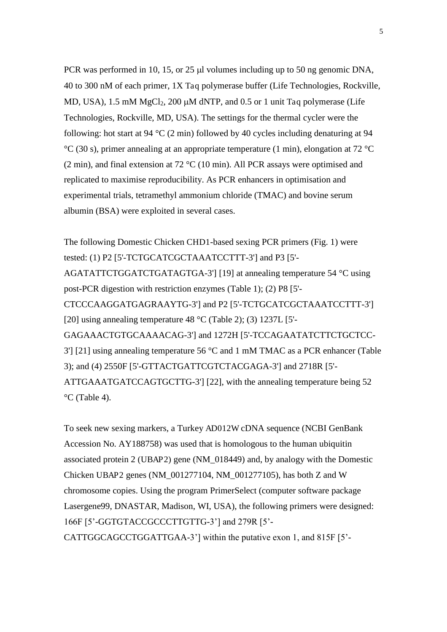PCR was performed in 10, 15, or 25  $\mu$  volumes including up to 50 ng genomic DNA, 40 to 300 nM of each primer, 1X Taq polymerase buffer (Life Technologies, Rockville, MD, USA), 1.5 mM  $MgCl<sub>2</sub>$ , 200  $\mu$ M dNTP, and 0.5 or 1 unit Taq polymerase (Life Technologies, Rockville, MD, USA). The settings for the thermal cycler were the following: hot start at 94  $^{\circ}$ C (2 min) followed by 40 cycles including denaturing at 94 °C (30 s), primer annealing at an appropriate temperature (1 min), elongation at 72 °C (2 min), and final extension at 72 °C (10 min). All PCR assays were optimised and replicated to maximise reproducibility. As PCR enhancers in optimisation and experimental trials, tetramethyl ammonium chloride (TMAC) and bovine serum albumin (BSA) were exploited in several cases.

The following Domestic Chicken CHD1-based sexing PCR primers (Fig. 1) were tested: (1) P2 [5'-TCTGCATCGCTAAATCCTTT-3'] and P3 [5'- AGATATTCTGGATCTGATAGTGA-3'] [19] at annealing temperature 54 °C using post-PCR digestion with restriction enzymes (Table 1); (2) P8 [5'- CTCCCAAGGATGAGRAAYTG-3'] and P2 [5'-TCTGCATCGCTAAATCCTTT-3'] [20] using annealing temperature 48 °C (Table 2); (3) 1237L [5'- GAGAAACTGTGCAAAACAG-3'] and 1272H [5'-TCCAGAATATCTTCTGCTCC-3'] [21] using annealing temperature 56 °C and 1 mM TMAC as a PCR enhancer (Table 3); and (4) 2550F [5'-GTTACTGATTCGTCTACGAGA-3'] and 2718R [5'- ATTGAAATGATCCAGTGCTTG-3'] [22], with the annealing temperature being 52  $\mathrm{^{\circ}C}$  (Table 4).

To seek new sexing markers, a Turkey AD012W cDNA sequence (NCBI GenBank Accession No. AY188758) was used that is homologous to the human ubiquitin associated protein 2 (UBAP2) gene (NM\_018449) and, by analogy with the Domestic Chicken UBAP2 genes (NM\_001277104, NM\_001277105), has both Z and W chromosome copies. Using the program PrimerSelect (computer software package Lasergene99, DNASTAR, Madison, WI, USA), the following primers were designed: 166F [5'-GGTGTACCGCCCTTGTTG-3'] and 279R [5'-CATTGGCAGCCTGGATTGAA-3'] within the putative exon 1, and 815F [5'-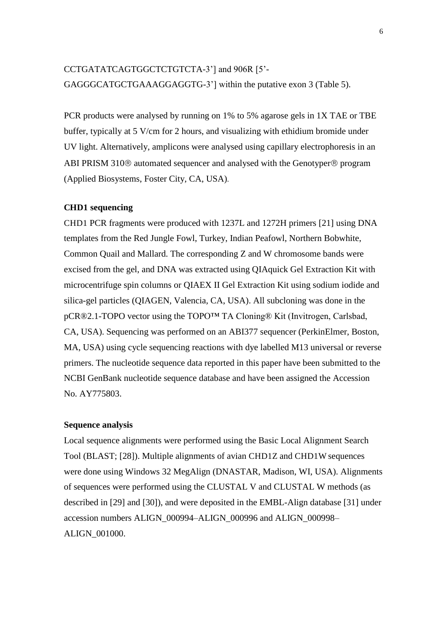### CCTGATATCAGTGGCTCTGTCTA-3'] and 906R [5'-GAGGGCATGCTGAAAGGAGGTG-3'] within the putative exon 3 (Table 5).

PCR products were analysed by running on 1% to 5% agarose gels in 1X TAE or TBE buffer, typically at 5 V/cm for 2 hours, and visualizing with ethidium bromide under UV light. Alternatively, amplicons were analysed using capillary electrophoresis in an ABI PRISM 310 $\circledR$  automated sequencer and analysed with the Genotyper  $\circledR$  program (Applied Biosystems, Foster City, CA, USA).

### **CHD1 sequencing**

CHD1 PCR fragments were produced with 1237L and 1272H primers [21] using DNA templates from the Red Jungle Fowl, Turkey, Indian Peafowl, Northern Bobwhite, Common Quail and Mallard. The corresponding Z and W chromosome bands were excised from the gel, and DNA was extracted using QIAquick Gel Extraction Kit with microcentrifuge spin columns or QIAEX II Gel Extraction Kit using sodium iodide and silica-gel particles (QIAGEN, Valencia, CA, USA). All subcloning was done in the pCR®2.1-TOPO vector using the TOPO™ TA Cloning® Kit (Invitrogen, Carlsbad, CA, USA). Sequencing was performed on an ABI377 sequencer (PerkinElmer, Boston, MA, USA) using cycle sequencing reactions with dye labelled M13 universal or reverse primers. The nucleotide sequence data reported in this paper have been submitted to the NCBI GenBank nucleotide sequence database and have been assigned the Accession No. AY775803.

### **Sequence analysis**

Local sequence alignments were performed using the Basic Local Alignment Search Tool (BLAST; [28]). Multiple alignments of avian CHD1Z and CHD1W sequences were done using Windows 32 MegAlign (DNASTAR, Madison, WI, USA). Alignments of sequences were performed using the CLUSTAL V and CLUSTAL W methods (as described in [29] and [30]), and were deposited in the EMBL-Align database [31] under accession numbers ALIGN\_000994–ALIGN\_000996 and ALIGN\_000998– ALIGN\_001000.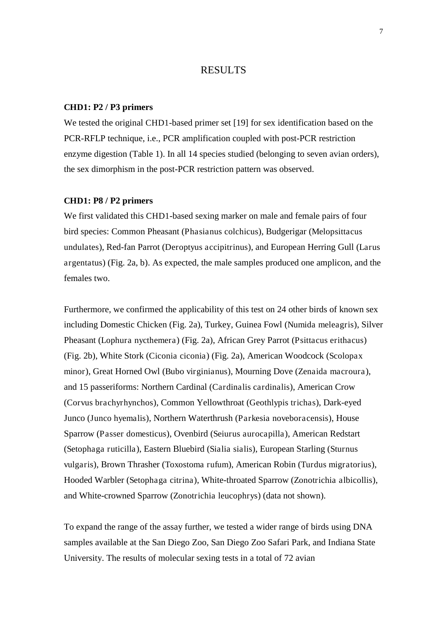### RESULTS

### **CHD1: P2 / P3 primers**

We tested the original CHD1-based primer set [19] for sex identification based on the PCR-RFLP technique, i.e., PCR amplification coupled with post-PCR restriction enzyme digestion (Table 1). In all 14 species studied (belonging to seven avian orders), the sex dimorphism in the post-PCR restriction pattern was observed.

### **CHD1: P8 / P2 primers**

We first validated this CHD1-based sexing marker on male and female pairs of four bird species: Common Pheasant (Phasianus colchicus), Budgerigar (Melopsittacus undulates), Red-fan Parrot (Deroptyus accipitrinus), and European Herring Gull (Larus argentatus) (Fig. 2a, b). As expected, the male samples produced one amplicon, and the females two.

Furthermore, we confirmed the applicability of this test on 24 other birds of known sex including Domestic Chicken (Fig. 2a), Turkey, Guinea Fowl (Numida meleagris), Silver Pheasant (Lophura nycthemera) (Fig. 2a), African Grey Parrot (Psittacus erithacus) (Fig. 2b), White Stork (Ciconia ciconia) (Fig. 2a), American Woodcock (Scolopax minor), Great Horned Owl (Bubo virginianus), Mourning Dove (Zenaida macroura), and 15 passeriforms: Northern Cardinal (Cardinalis cardinalis), American Crow (Corvus brachyrhynchos), Common Yellowthroat (Geothlypis trichas), Dark-eyed Junco (Junco hyemalis), Northern Waterthrush (Parkesia noveboracensis), House Sparrow (Passer domesticus), Ovenbird (Seiurus aurocapilla), American Redstart (Setophaga ruticilla), Eastern Bluebird (Sialia sialis), European Starling (Sturnus vulgaris), Brown Thrasher (Toxostoma rufum), American Robin (Turdus migratorius), Hooded Warbler (Setophaga citrina), White-throated Sparrow (Zonotrichia albicollis), and White-crowned Sparrow (Zonotrichia leucophrys) (data not shown).

To expand the range of the assay further, we tested a wider range of birds using DNA samples available at the San Diego Zoo, San Diego Zoo Safari Park, and Indiana State University. The results of molecular sexing tests in a total of 72 avian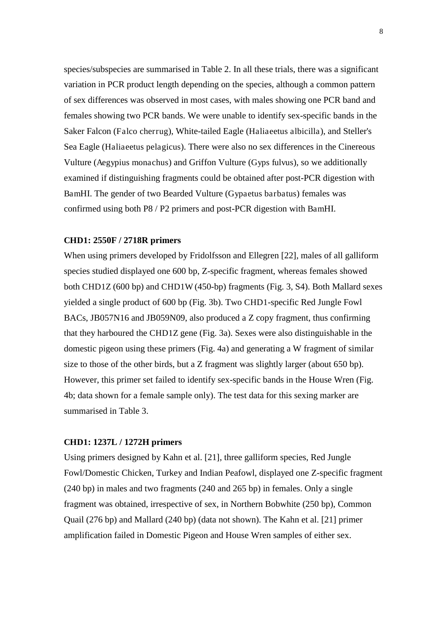species/subspecies are summarised in Table 2. In all these trials, there was a significant variation in PCR product length depending on the species, although a common pattern of sex differences was observed in most cases, with males showing one PCR band and females showing two PCR bands. We were unable to identify sex-specific bands in the Saker Falcon (Falco cherrug), White-tailed Eagle (Haliaeetus albicilla), and Steller's Sea Eagle (Haliaeetus pelagicus). There were also no sex differences in the Cinereous Vulture (Aegypius monachus) and Griffon Vulture (Gyps fulvus), so we additionally examined if distinguishing fragments could be obtained after post-PCR digestion with BamHI. The gender of two Bearded Vulture (Gypaetus barbatus) females was confirmed using both P8 / P2 primers and post-PCR digestion with BamHI.

### **CHD1: 2550F / 2718R primers**

When using primers developed by Fridolfsson and Ellegren [22], males of all galliform species studied displayed one 600 bp, Z-specific fragment, whereas females showed both CHD1Z (600 bp) and CHD1W (450-bp) fragments (Fig. 3, S4). Both Mallard sexes yielded a single product of 600 bp (Fig. 3b). Two CHD1-specific Red Jungle Fowl BACs, JB057N16 and JB059N09, also produced a Z copy fragment, thus confirming that they harboured the CHD1Z gene (Fig. 3a). Sexes were also distinguishable in the domestic pigeon using these primers (Fig. 4a) and generating a W fragment of similar size to those of the other birds, but a Z fragment was slightly larger (about 650 bp). However, this primer set failed to identify sex-specific bands in the House Wren (Fig. 4b; data shown for a female sample only). The test data for this sexing marker are summarised in Table 3.

### **CHD1: 1237L / 1272H primers**

Using primers designed by Kahn et al. [21], three galliform species, Red Jungle Fowl/Domestic Chicken, Turkey and Indian Peafowl, displayed one Z-specific fragment (240 bp) in males and two fragments (240 and 265 bp) in females. Only a single fragment was obtained, irrespective of sex, in Northern Bobwhite (250 bp), Common Quail (276 bp) and Mallard (240 bp) (data not shown). The Kahn et al. [21] primer amplification failed in Domestic Pigeon and House Wren samples of either sex.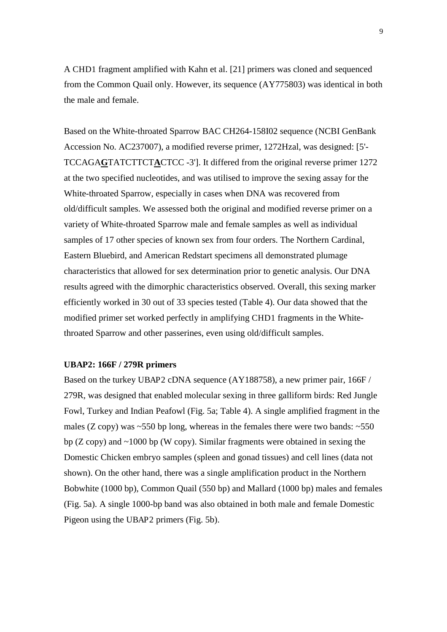A CHD1 fragment amplified with Kahn et al. [21] primers was cloned and sequenced from the Common Quail only. However, its sequence (AY775803) was identical in both the male and female.

Based on the White-throated Sparrow BAC CH264-158I02 sequence (NCBI GenBank Accession No. AC237007), a modified reverse primer, 1272Hzal, was designed: [5'- TCCAGA**G**TATCTTCT**A**CTCC -3']. It differed from the original reverse primer 1272 at the two specified nucleotides, and was utilised to improve the sexing assay for the White-throated Sparrow, especially in cases when DNA was recovered from old/difficult samples. We assessed both the original and modified reverse primer on a variety of White-throated Sparrow male and female samples as well as individual samples of 17 other species of known sex from four orders. The Northern Cardinal, Eastern Bluebird, and American Redstart specimens all demonstrated plumage characteristics that allowed for sex determination prior to genetic analysis. Our DNA results agreed with the dimorphic characteristics observed. Overall, this sexing marker efficiently worked in 30 out of 33 species tested (Table 4). Our data showed that the modified primer set worked perfectly in amplifying CHD1 fragments in the Whitethroated Sparrow and other passerines, even using old/difficult samples.

### **UBAP2: 166F / 279R primers**

Based on the turkey UBAP2 cDNA sequence (AY188758), a new primer pair, 166F / 279R, was designed that enabled molecular sexing in three galliform birds: Red Jungle Fowl, Turkey and Indian Peafowl (Fig. 5a; Table 4). A single amplified fragment in the males (Z copy) was  $\sim$  550 bp long, whereas in the females there were two bands:  $\sim$  550 bp ( $Z$  copy) and  $\sim$ 1000 bp (W copy). Similar fragments were obtained in sexing the Domestic Chicken embryo samples (spleen and gonad tissues) and cell lines (data not shown). On the other hand, there was a single amplification product in the Northern Bobwhite (1000 bp), Common Quail (550 bp) and Mallard (1000 bp) males and females (Fig. 5a). A single 1000-bp band was also obtained in both male and female Domestic Pigeon using the UBAP2 primers (Fig. 5b).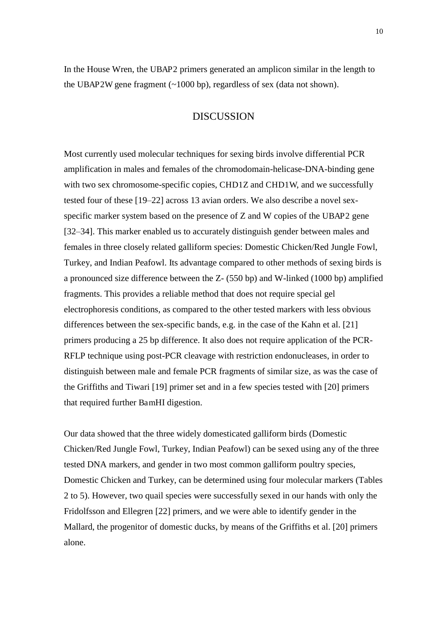In the House Wren, the UBAP2 primers generated an amplicon similar in the length to the UBAP2W gene fragment  $(\sim 1000 \text{ bp})$ , regardless of sex (data not shown).

### DISCUSSION

Most currently used molecular techniques for sexing birds involve differential PCR amplification in males and females of the chromodomain-helicase-DNA-binding gene with two sex chromosome-specific copies, CHD1Z and CHD1W, and we successfully tested four of these [19–22] across 13 avian orders. We also describe a novel sexspecific marker system based on the presence of Z and W copies of the UBAP2 gene [32–34]. This marker enabled us to accurately distinguish gender between males and females in three closely related galliform species: Domestic Chicken/Red Jungle Fowl, Turkey, and Indian Peafowl. Its advantage compared to other methods of sexing birds is a pronounced size difference between the Z- (550 bp) and W-linked (1000 bp) amplified fragments. This provides a reliable method that does not require special gel electrophoresis conditions, as compared to the other tested markers with less obvious differences between the sex-specific bands, e.g. in the case of the Kahn et al. [21] primers producing a 25 bp difference. It also does not require application of the PCR-RFLP technique using post-PCR cleavage with restriction endonucleases, in order to distinguish between male and female PCR fragments of similar size, as was the case of the Griffiths and Tiwari [19] primer set and in a few species tested with [20] primers that required further BamHI digestion.

Our data showed that the three widely domesticated galliform birds (Domestic Chicken/Red Jungle Fowl, Turkey, Indian Peafowl) can be sexed using any of the three tested DNA markers, and gender in two most common galliform poultry species, Domestic Chicken and Turkey, can be determined using four molecular markers (Tables 2 to 5). However, two quail species were successfully sexed in our hands with only the Fridolfsson and Ellegren [22] primers, and we were able to identify gender in the Mallard, the progenitor of domestic ducks, by means of the Griffiths et al. [20] primers alone.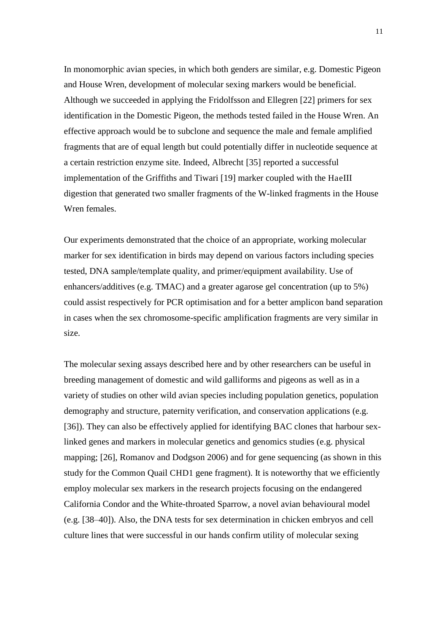In monomorphic avian species, in which both genders are similar, e.g. Domestic Pigeon and House Wren, development of molecular sexing markers would be beneficial. Although we succeeded in applying the Fridolfsson and Ellegren [22] primers for sex identification in the Domestic Pigeon, the methods tested failed in the House Wren. An effective approach would be to subclone and sequence the male and female amplified fragments that are of equal length but could potentially differ in nucleotide sequence at a certain restriction enzyme site. Indeed, Albrecht [35] reported a successful implementation of the Griffiths and Tiwari [19] marker coupled with the HaeIII digestion that generated two smaller fragments of the W-linked fragments in the House Wren females.

Our experiments demonstrated that the choice of an appropriate, working molecular marker for sex identification in birds may depend on various factors including species tested, DNA sample/template quality, and primer/equipment availability. Use of enhancers/additives (e.g. TMAC) and a greater agarose gel concentration (up to 5%) could assist respectively for PCR optimisation and for a better amplicon band separation in cases when the sex chromosome-specific amplification fragments are very similar in size.

The molecular sexing assays described here and by other researchers can be useful in breeding management of domestic and wild galliforms and pigeons as well as in a variety of studies on other wild avian species including population genetics, population demography and structure, paternity verification, and conservation applications (e.g. [36]). They can also be effectively applied for identifying BAC clones that harbour sexlinked genes and markers in molecular genetics and genomics studies (e.g. physical mapping; [26], Romanov and Dodgson 2006) and for gene sequencing (as shown in this study for the Common Quail CHD1 gene fragment). It is noteworthy that we efficiently employ molecular sex markers in the research projects focusing on the endangered California Condor and the White-throated Sparrow, a novel avian behavioural model (e.g. [38–40]). Also, the DNA tests for sex determination in chicken embryos and cell culture lines that were successful in our hands confirm utility of molecular sexing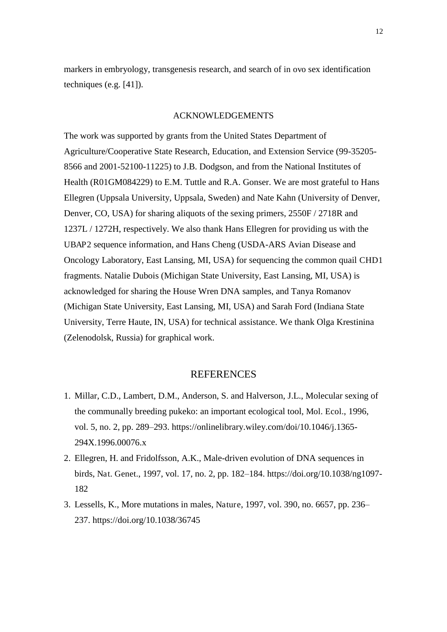markers in embryology, transgenesis research, and search of in ovo sex identification techniques (e.g. [41]).

### ACKNOWLEDGEMENTS

The work was supported by grants from the United States Department of Agriculture/Cooperative State Research, Education, and Extension Service (99-35205- 8566 and 2001-52100-11225) to J.B. Dodgson, and from the National Institutes of Health (R01GM084229) to E.M. Tuttle and R.A. Gonser. We are most grateful to Hans Ellegren (Uppsala University, Uppsala, Sweden) and Nate Kahn (University of Denver, Denver, CO, USA) for sharing aliquots of the sexing primers, 2550F / 2718R and 1237L / 1272H, respectively. We also thank Hans Ellegren for providing us with the UBAP2 sequence information, and Hans Cheng (USDA-ARS Avian Disease and Oncology Laboratory, East Lansing, MI, USA) for sequencing the common quail CHD1 fragments. Natalie Dubois (Michigan State University, East Lansing, MI, USA) is acknowledged for sharing the House Wren DNA samples, and Tanya Romanov (Michigan State University, East Lansing, MI, USA) and Sarah Ford (Indiana State University, Terre Haute, IN, USA) for technical assistance. We thank Olga Krestinina (Zelenodolsk, Russia) for graphical work.

### REFERENCES

- 1. Millar, C.D., Lambert, D.M., Anderson, S. and Halverson, J.L., Molecular sexing of the communally breeding pukeko: an important ecological tool, Mol. Ecol., 1996, vol. 5, no. 2, pp. 289–293. https://onlinelibrary.wiley.com/doi/10.1046/j.1365- 294X.1996.00076.x
- 2. Ellegren, H. and Fridolfsson, A.K., Male-driven evolution of DNA sequences in birds, Nat. Genet., 1997, vol. 17, no. 2, pp. 182–184. https://doi.org/10.1038/ng1097- 182
- 3. Lessells, K., More mutations in males, Nature, 1997, vol. 390, no. 6657, pp. 236– 237. https://doi.org/10.1038/36745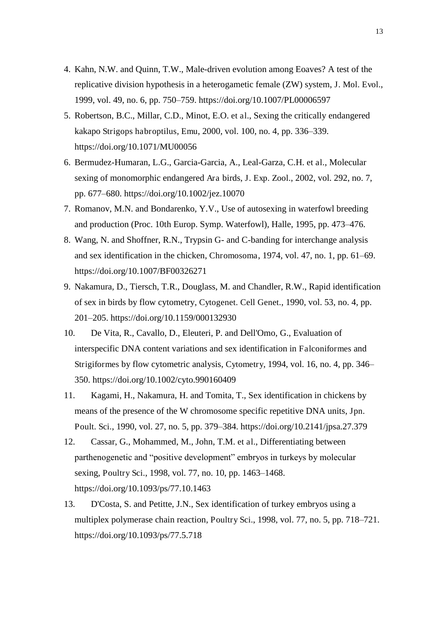- 4. Kahn, N.W. and Quinn, T.W., Male-driven evolution among Eoaves? A test of the replicative division hypothesis in a heterogametic female (ZW) system, J. Mol. Evol., 1999, vol. 49, no. 6, pp. 750–759. https://doi.org/10.1007/PL00006597
- 5. Robertson, B.C., Millar, C.D., Minot, E.O. et al., Sexing the critically endangered kakapo Strigops habroptilus, Emu, 2000, vol. 100, no. 4, pp. 336–339. https://doi.org/10.1071/MU00056
- 6. Bermudez-Humaran, L.G., Garcia-Garcia, A., Leal-Garza, C.H. et al., Molecular sexing of monomorphic endangered Ara birds, J. Exp. Zool., 2002, vol. 292, no. 7, pp. 677–680. https://doi.org/10.1002/jez.10070
- 7. Romanov, M.N. and Bondarenko, Y.V., Use of autosexing in waterfowl breeding and production (Proc. 10th Europ. Symp. Waterfowl), Halle, 1995, pp. 473–476.
- 8. Wang, N. and Shoffner, R.N., Trypsin G- and C-banding for interchange analysis and sex identification in the chicken, Chromosoma, 1974, vol. 47, no. 1, pp. 61–69. https://doi.org/10.1007/BF00326271
- 9. Nakamura, D., Tiersch, T.R., Douglass, M. and Chandler, R.W., Rapid identification of sex in birds by flow cytometry, Cytogenet. Cell Genet., 1990, vol. 53, no. 4, pp. 201–205. https://doi.org/10.1159/000132930
- 10. De Vita, R., Cavallo, D., Eleuteri, P. and Dell'Omo, G., Evaluation of interspecific DNA content variations and sex identification in Falconiformes and Strigiformes by flow cytometric analysis, Cytometry, 1994, vol. 16, no. 4, pp. 346– 350. https://doi.org/10.1002/cyto.990160409
- 11. Kagami, H., Nakamura, H. and Tomita, T., Sex identification in chickens by means of the presence of the W chromosome specific repetitive DNA units, Jpn. Poult. Sci., 1990, vol. 27, no. 5, pp. 379–384. https://doi.org/10.2141/jpsa.27.379
- 12. Cassar, G., Mohammed, M., John, T.M. et al., Differentiating between parthenogenetic and "positive development" embryos in turkeys by molecular sexing, Poultry Sci., 1998, vol. 77, no. 10, pp. 1463–1468. https://doi.org/10.1093/ps/77.10.1463
- 13. D'Costa, S. and Petitte, J.N., Sex identification of turkey embryos using a multiplex polymerase chain reaction, Poultry Sci., 1998, vol. 77, no. 5, pp. 718–721. https://doi.org/10.1093/ps/77.5.718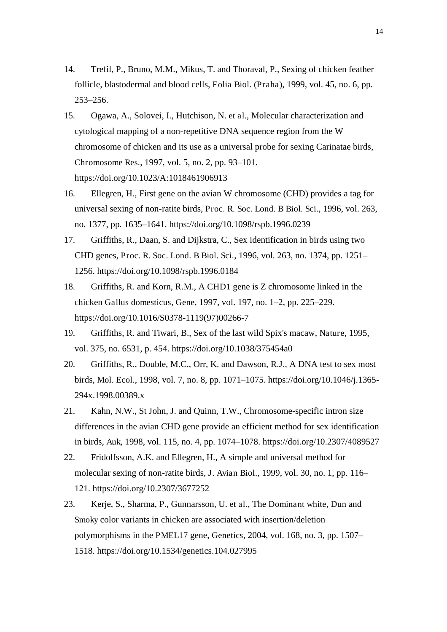- 14. Trefil, P., Bruno, M.M., Mikus, T. and Thoraval, P., Sexing of chicken feather follicle, blastodermal and blood cells, Folia Biol. (Praha), 1999, vol. 45, no. 6, pp. 253–256.
- 15. Ogawa, A., Solovei, I., Hutchison, N. et al., Molecular characterization and cytological mapping of a non-repetitive DNA sequence region from the W chromosome of chicken and its use as a universal probe for sexing Carinatae birds, Chromosome Res., 1997, vol. 5, no. 2, pp. 93–101. https://doi.org/10.1023/A:1018461906913
- 16. Ellegren, H., First gene on the avian W chromosome (CHD) provides a tag for universal sexing of non-ratite birds, Proc. R. Soc. Lond. B Biol. Sci., 1996, vol. 263, no. 1377, pp. 1635–1641. https://doi.org/10.1098/rspb.1996.0239
- 17. Griffiths, R., Daan, S. and Dijkstra, C., Sex identification in birds using two CHD genes, Proc. R. Soc. Lond. B Biol. Sci., 1996, vol. 263, no. 1374, pp. 1251– 1256. https://doi.org/10.1098/rspb.1996.0184
- 18. Griffiths, R. and Korn, R.M., A CHD1 gene is Z chromosome linked in the chicken Gallus domesticus, Gene, 1997, vol. 197, no. 1–2, pp. 225–229. https://doi.org/10.1016/S0378-1119(97)00266-7
- 19. Griffiths, R. and Tiwari, B., Sex of the last wild Spix's macaw, Nature, 1995, vol. 375, no. 6531, p. 454. https://doi.org/10.1038/375454a0
- 20. Griffiths, R., Double, M.C., Orr, K. and Dawson, R.J., A DNA test to sex most birds, Mol. Ecol., 1998, vol. 7, no. 8, pp. 1071–1075. https://doi.org/10.1046/j.1365- 294x.1998.00389.x
- 21. Kahn, N.W., St John, J. and Quinn, T.W., Chromosome-specific intron size differences in the avian CHD gene provide an efficient method for sex identification in birds, Auk, 1998, vol. 115, no. 4, pp. 1074–1078. https://doi.org/10.2307/4089527
- 22. Fridolfsson, A.K. and Ellegren, H., A simple and universal method for molecular sexing of non-ratite birds, J. Avian Biol., 1999, vol. 30, no. 1, pp. 116– 121. https://doi.org/10.2307/3677252
- 23. Kerje, S., Sharma, P., Gunnarsson, U. et al., The Dominant white, Dun and Smoky color variants in chicken are associated with insertion/deletion polymorphisms in the PMEL17 gene, Genetics, 2004, vol. 168, no. 3, pp. 1507– 1518. https://doi.org/10.1534/genetics.104.027995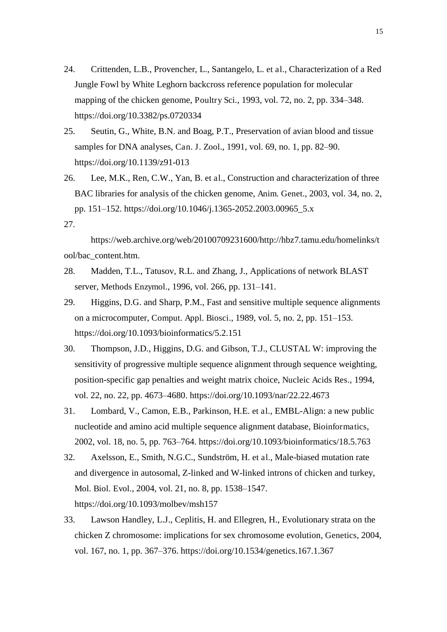- 24. Crittenden, L.B., Provencher, L., Santangelo, L. et al., Characterization of a Red Jungle Fowl by White Leghorn backcross reference population for molecular mapping of the chicken genome, Poultry Sci., 1993, vol. 72, no. 2, pp. 334–348. https://doi.org/10.3382/ps.0720334
- 25. Seutin, G., White, B.N. and Boag, P.T., Preservation of avian blood and tissue samples for DNA analyses, Can. J. Zool., 1991, vol. 69, no. 1, pp. 82–90. https://doi.org/10.1139/z91-013
- 26. Lee, M.K., Ren, C.W., Yan, B. et al., Construction and characterization of three BAC libraries for analysis of the chicken genome, Anim. Genet., 2003, vol. 34, no. 2, pp. 151–152. https://doi.org/10.1046/j.1365-2052.2003.00965\_5.x
- 27.

 https://web.archive.org/web/20100709231600/http://hbz7.tamu.edu/homelinks/t ool/bac\_content.htm.

- 28. Madden, T.L., Tatusov, R.L. and Zhang, J., Applications of network BLAST server, Methods Enzymol., 1996, vol. 266, pp. 131–141.
- 29. Higgins, D.G. and Sharp, P.M., Fast and sensitive multiple sequence alignments on a microcomputer, Comput. Appl. Biosci., 1989, vol. 5, no. 2, pp. 151–153. https://doi.org/10.1093/bioinformatics/5.2.151
- 30. Thompson, J.D., Higgins, D.G. and Gibson, T.J., CLUSTAL W: improving the sensitivity of progressive multiple sequence alignment through sequence weighting, position-specific gap penalties and weight matrix choice, Nucleic Acids Res., 1994, vol. 22, no. 22, pp. 4673–4680. https://doi.org/10.1093/nar/22.22.4673
- 31. Lombard, V., Camon, E.B., Parkinson, H.E. et al., EMBL-Align: a new public nucleotide and amino acid multiple sequence alignment database, Bioinformatics, 2002, vol. 18, no. 5, pp. 763–764. https://doi.org/10.1093/bioinformatics/18.5.763
- 32. Axelsson, E., Smith, N.G.C., Sundström, H. et al., Male-biased mutation rate and divergence in autosomal, Z-linked and W-linked introns of chicken and turkey, Mol. Biol. Evol., 2004, vol. 21, no. 8, pp. 1538–1547. https://doi.org/10.1093/molbev/msh157
- 33. Lawson Handley, L.J., Ceplitis, H. and Ellegren, H., Evolutionary strata on the chicken Z chromosome: implications for sex chromosome evolution, Genetics, 2004, vol. 167, no. 1, pp. 367–376. https://doi.org/10.1534/genetics.167.1.367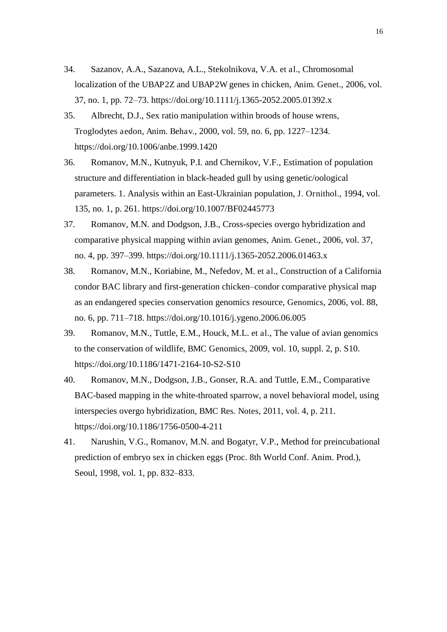- 34. Sazanov, A.A., Sazanova, A.L., Stekolnikova, V.A. et al., Chromosomal localization of the UBAP2Z and UBAP2W genes in chicken, Anim. Genet., 2006, vol. 37, no. 1, pp. 72–73. https://doi.org/10.1111/j.1365-2052.2005.01392.x
- 35. Albrecht, D.J., Sex ratio manipulation within broods of house wrens, Troglodytes aedon, Anim. Behav., 2000, vol. 59, no. 6, pp. 1227–1234. https://doi.org/10.1006/anbe.1999.1420
- 36. Romanov, M.N., Kutnyuk, P.I. and Chernikov, V.F., Estimation of population structure and differentiation in black-headed gull by using genetic/oological parameters. 1. Analysis within an East-Ukrainian population, J. Ornithol., 1994, vol. 135, no. 1, p. 261. https://doi.org/10.1007/BF02445773
- 37. Romanov, M.N. and Dodgson, J.B., Cross-species overgo hybridization and comparative physical mapping within avian genomes, Anim. Genet., 2006, vol. 37, no. 4, pp. 397–399. https://doi.org/10.1111/j.1365-2052.2006.01463.x
- 38. Romanov, M.N., Koriabine, M., Nefedov, M. et al., Construction of a California condor BAC library and first-generation chicken–condor comparative physical map as an endangered species conservation genomics resource, Genomics, 2006, vol. 88, no. 6, pp. 711–718. https://doi.org/10.1016/j.ygeno.2006.06.005
- 39. Romanov, M.N., Tuttle, E.M., Houck, M.L. et al., The value of avian genomics to the conservation of wildlife, BMC Genomics, 2009, vol. 10, suppl. 2, p. S10. https://doi.org/10.1186/1471-2164-10-S2-S10
- 40. Romanov, M.N., Dodgson, J.B., Gonser, R.A. and Tuttle, E.M., Comparative BAC-based mapping in the white-throated sparrow, a novel behavioral model, using interspecies overgo hybridization, BMC Res. Notes, 2011, vol. 4, p. 211. https://doi.org/10.1186/1756-0500-4-211
- 41. Narushin, V.G., Romanov, M.N. and Bogatyr, V.P., Method for preincubational prediction of embryo sex in chicken eggs (Proc. 8th World Conf. Anim. Prod.), Seoul, 1998, vol. 1, pp. 832–833.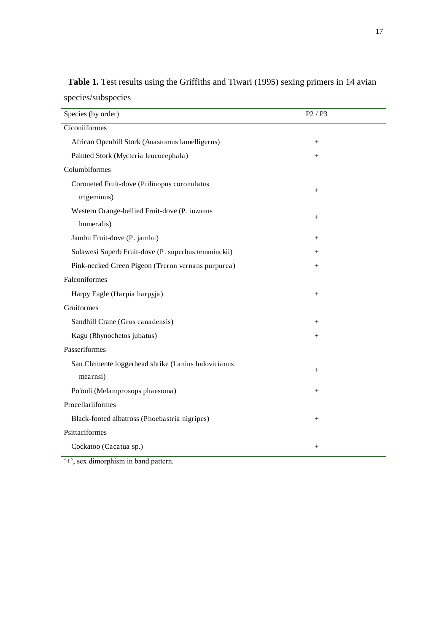| Species (by order)                                  | P <sub>2</sub> / P <sub>3</sub> |
|-----------------------------------------------------|---------------------------------|
| Ciconiiformes                                       |                                 |
| African Openbill Stork (Anastomus lamelligerus)     | $^{+}$                          |
| Painted Stork (Mycteria leucocephala)               | $^{+}$                          |
| Columbiformes                                       |                                 |
| Coroneted Fruit-dove (Ptilinopus coronulatus        |                                 |
| trigeminus)                                         | $^{+}$                          |
| Western Orange-bellied Fruit-dove (P. iozonus       | $^{+}$                          |
| humeralis)                                          |                                 |
| Jambu Fruit-dove (P. jambu)                         | $^{+}$                          |
| Sulawesi Superb Fruit-dove (P. superbus temminckii) | $^{+}$                          |
| Pink-necked Green Pigeon (Treron vernans purpurea)  | $^{+}$                          |
| Falconiformes                                       |                                 |
| Harpy Eagle (Harpia harpyja)                        | $^{+}$                          |
| Gruiformes                                          |                                 |
| Sandhill Crane (Grus canadensis)                    | $^{+}$                          |
| Kagu (Rhynochetos jubatus)                          | $^{+}$                          |
| Passeriformes                                       |                                 |
| San Clemente loggerhead shrike (Lanius ludovicianus |                                 |
| mearnsi)                                            | $^{+}$                          |
| Po'ouli (Melamprosops phaesoma)                     | $^{+}$                          |
| Procellariiformes                                   |                                 |
| Black-footed albatross (Phoebastria nigripes)       | $^{+}$                          |
| Psittaciformes                                      |                                 |
| Cockatoo (Cacatua sp.)                              | $^{+}$                          |

**Table 1.** Test results using the Griffiths and Tiwari (1995) sexing primers in 14 avian species/subspecies

'+', sex dimorphism in band pattern.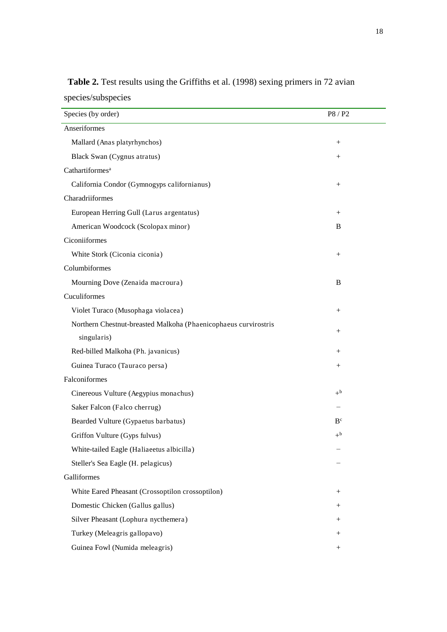| Species (by order)                                              | P8 / P2            |
|-----------------------------------------------------------------|--------------------|
| Anseriformes                                                    |                    |
| Mallard (Anas platyrhynchos)                                    | $\! + \!\!\!\!$    |
| Black Swan (Cygnus atratus)                                     |                    |
| Cathartiformes <sup>a</sup>                                     |                    |
| California Condor (Gymnogyps californianus)                     | $\hspace{0.1mm} +$ |
| Charadriiformes                                                 |                    |
| European Herring Gull (Larus argentatus)                        | $^{+}$             |
| American Woodcock (Scolopax minor)                              | B                  |
| Ciconiiformes                                                   |                    |
| White Stork (Ciconia ciconia)                                   | $^{+}$             |
| Columbiformes                                                   |                    |
| Mourning Dove (Zenaida macroura)                                | B                  |
| Cuculiformes                                                    |                    |
| Violet Turaco (Musophaga violacea)                              | $^{+}$             |
| Northern Chestnut-breasted Malkoha (Phaenicophaeus curvirostris |                    |
| singularis)                                                     | $^{+}$             |
| Red-billed Malkoha (Ph. javanicus)                              | $^{+}$             |
| Guinea Turaco (Tauraco persa)                                   |                    |
| Falconiformes                                                   |                    |
| Cinereous Vulture (Aegypius monachus)                           | $+^{\rm b}$        |
| Saker Falcon (Falco cherrug)                                    |                    |
| Bearded Vulture (Gypaetus barbatus)                             | B <sup>c</sup>     |
| Griffon Vulture (Gyps fulvus)                                   | $+^{\rm b}$        |
| White-tailed Eagle (Haliaeetus albicilla)                       |                    |
| Steller's Sea Eagle (H. pelagicus)                              |                    |
| Galliformes                                                     |                    |
| White Eared Pheasant (Crossoptilon crossoptilon)                | $^{+}$             |
| Domestic Chicken (Gallus gallus)                                | $^{+}$             |
| Silver Pheasant (Lophura nycthemera)                            | $^{+}$             |
| Turkey (Meleagris gallopavo)                                    | $^{+}$             |
| Guinea Fowl (Numida meleagris)                                  | $^{+}$             |

**Table 2.** Test results using the Griffiths et al. (1998) sexing primers in 72 avian species/subspecies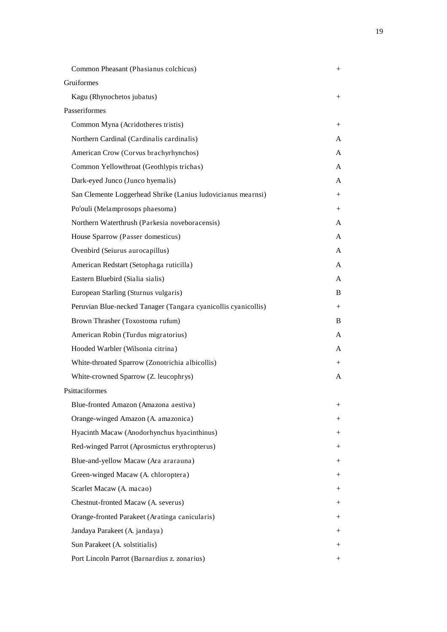| Common Pheasant (Phasianus colchicus)                          | $^{+}$ |
|----------------------------------------------------------------|--------|
| Gruiformes                                                     |        |
| Kagu (Rhynochetos jubatus)                                     | $^{+}$ |
| Passeriformes                                                  |        |
| Common Myna (Acridotheres tristis)                             | $^{+}$ |
| Northern Cardinal (Cardinalis cardinalis)                      | A      |
| American Crow (Corvus brachyrhynchos)                          | A      |
| Common Yellowthroat (Geothlypis trichas)                       | A      |
| Dark-eyed Junco (Junco hyemalis)                               | A      |
| San Clemente Loggerhead Shrike (Lanius ludovicianus mearnsi)   | $^{+}$ |
| Po'ouli (Melamprosops phaesoma)                                | $^{+}$ |
| Northern Waterthrush (Parkesia noveboracensis)                 | A      |
| House Sparrow (Passer domesticus)                              | A      |
| Ovenbird (Seiurus aurocapillus)                                | A      |
| American Redstart (Setophaga ruticilla)                        | A      |
| Eastern Bluebird (Sialia sialis)                               | A      |
| European Starling (Sturnus vulgaris)                           | B      |
| Peruvian Blue-necked Tanager (Tangara cyanicollis cyanicollis) | $^{+}$ |
| Brown Thrasher (Toxostoma rufum)                               | B      |
| American Robin (Turdus migratorius)                            | A      |
| Hooded Warbler (Wilsonia citrina)                              | A      |
| White-throated Sparrow (Zonotrichia albicollis)                | $^{+}$ |
| White-crowned Sparrow (Z. leucophrys)                          | A      |
| Psittaciformes                                                 |        |
| Blue-fronted Amazon (Amazona aestiva)                          | $^{+}$ |
| Orange-winged Amazon (A. amazonica)                            | $^{+}$ |
| Hyacinth Macaw (Anodorhynchus hyacinthinus)                    | $^{+}$ |
| Red-winged Parrot (Aprosmictus erythropterus)                  | $^{+}$ |
| Blue-and-yellow Macaw (Ara ararauna)                           | $^{+}$ |
| Green-winged Macaw (A. chloroptera)                            | $^{+}$ |
| Scarlet Macaw (A. macao)                                       | $^{+}$ |
| Chestnut-fronted Macaw (A. severus)                            | $^{+}$ |
| Orange-fronted Parakeet (Aratinga canicularis)                 | $^{+}$ |
| Jandaya Parakeet (A. jandaya)                                  | $^{+}$ |
| Sun Parakeet (A. solstitialis)                                 | $^{+}$ |
| Port Lincoln Parrot (Barnardius z. zonarius)                   | $^{+}$ |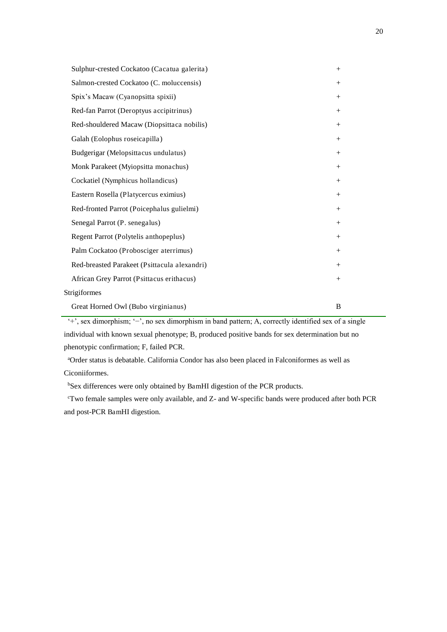| Sulphur-crested Cockatoo (Cacatua galerita)  | $+$    |
|----------------------------------------------|--------|
| Salmon-crested Cockatoo (C. moluccensis)     |        |
| Spix's Macaw (Cyanopsitta spixii)            | $^{+}$ |
| Red-fan Parrot (Deroptyus accipitrinus)      | $+$    |
| Red-shouldered Macaw (Diopsittaca nobilis)   |        |
| Galah (Eolophus roseicapilla)                | $^{+}$ |
| Budgerigar (Melopsittacus undulatus)         |        |
| Monk Parakeet (Myiopsitta monachus)          |        |
| Cockatiel (Nymphicus hollandicus)            | $^{+}$ |
| Eastern Rosella (Platycercus eximius)        | $^{+}$ |
| Red-fronted Parrot (Poicephalus gulielmi)    | $+$    |
| Senegal Parrot (P. senegalus)                |        |
| Regent Parrot (Polytelis anthopeplus)        | $^{+}$ |
| Palm Cockatoo (Probosciger aterrimus)        | $+$    |
| Red-breasted Parakeet (Psittacula alexandri) |        |
| African Grey Parrot (Psittacus erithacus)    |        |
| Strigiformes                                 |        |
| Great Horned Owl (Bubo virginianus)          | B      |

'+', sex dimorphism; '−', no sex dimorphism in band pattern; A, correctly identified sex of a single individual with known sexual phenotype; B, produced positive bands for sex determination but no phenotypic confirmation; F, failed PCR.

<sup>a</sup>Order status is debatable. California Condor has also been placed in Falconiformes as well as Ciconiiformes.

bSex differences were only obtained by BamHI digestion of the PCR products.

<sup>c</sup>Two female samples were only available, and Z- and W-specific bands were produced after both PCR and post-PCR BamHI digestion.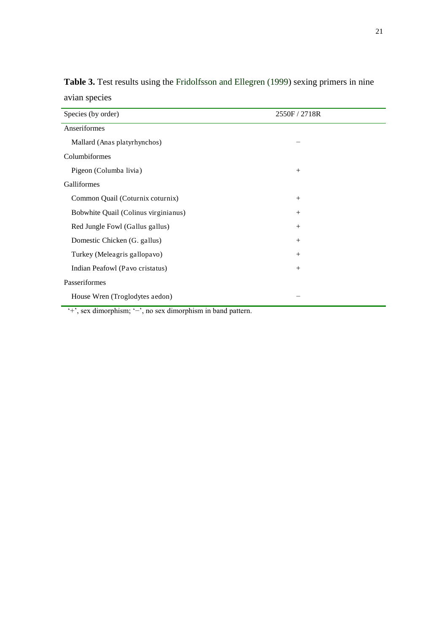| Species (by order)                   | 2550F / 2718R |  |
|--------------------------------------|---------------|--|
| Anseriformes                         |               |  |
| Mallard (Anas platyrhynchos)         |               |  |
| Columbiformes                        |               |  |
| Pigeon (Columba livia)               | $^{+}$        |  |
| Galliformes                          |               |  |
| Common Quail (Coturnix coturnix)     | $+$           |  |
| Bobwhite Quail (Colinus virginianus) | $+$           |  |
| Red Jungle Fowl (Gallus gallus)      | $+$           |  |
| Domestic Chicken (G. gallus)         | $^{+}$        |  |
| Turkey (Meleagris gallopavo)         | $^{+}$        |  |
| Indian Peafowl (Pavo cristatus)      | $+$           |  |
| Passeriformes                        |               |  |
| House Wren (Troglodytes aedon)       |               |  |

**Table 3.** Test results using the Fridolfsson and Ellegren (1999) sexing primers in nine avian species

'+', sex dimorphism; '−', no sex dimorphism in band pattern.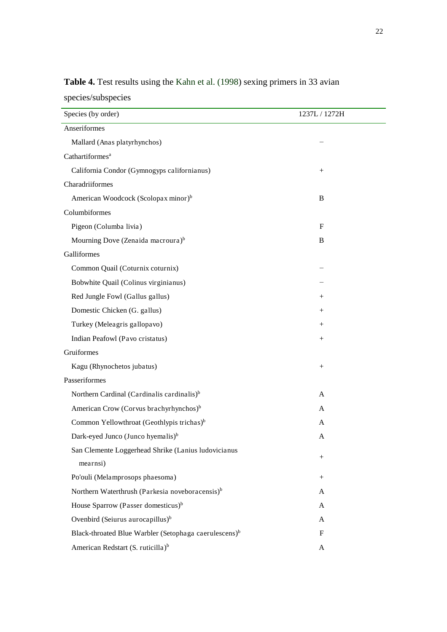| Species (by order)                                                | 1237L / 1272H      |
|-------------------------------------------------------------------|--------------------|
| Anseriformes                                                      |                    |
| Mallard (Anas platyrhynchos)                                      |                    |
| Cathartiformes <sup>a</sup>                                       |                    |
| California Condor (Gymnogyps californianus)                       |                    |
| Charadriiformes                                                   |                    |
| American Woodcock (Scolopax minor) <sup>b</sup>                   | B                  |
| Columbiformes                                                     |                    |
| Pigeon (Columba livia)                                            | $\mathbf F$        |
| Mourning Dove (Zenaida macroura) <sup>b</sup>                     | B                  |
| Galliformes                                                       |                    |
| Common Quail (Coturnix coturnix)                                  |                    |
| Bobwhite Quail (Colinus virginianus)                              |                    |
| Red Jungle Fowl (Gallus gallus)                                   | $\hspace{0.1mm} +$ |
| Domestic Chicken (G. gallus)                                      | $^+$               |
| Turkey (Meleagris gallopavo)                                      | $^+$               |
| Indian Peafowl (Pavo cristatus)                                   | $^{+}$             |
| Gruiformes                                                        |                    |
| Kagu (Rhynochetos jubatus)                                        | $^{+}$             |
| Passeriformes                                                     |                    |
| Northern Cardinal (Cardinalis cardinalis) <sup>b</sup>            | A                  |
| American Crow (Corvus brachyrhynchos) <sup>b</sup>                | A                  |
| Common Yellowthroat (Geothlypis trichas) <sup>b</sup>             | A                  |
| Dark-eyed Junco (Junco hyemalis) <sup>b</sup>                     | A                  |
| San Clemente Loggerhead Shrike (Lanius ludovicianus               |                    |
| mearnsi)                                                          | $\hspace{0.1mm} +$ |
| Po'ouli (Melamprosops phaesoma)                                   | $^{+}$             |
| Northern Waterthrush (Parkesia noveboracensis) <sup>b</sup>       | A                  |
| House Sparrow (Passer domesticus) <sup>b</sup>                    | A                  |
| Ovenbird (Seiurus aurocapillus) <sup>b</sup>                      | A                  |
| Black-throated Blue Warbler (Setophaga caerulescens) <sup>b</sup> | F                  |
| American Redstart (S. ruticilla) <sup>b</sup>                     | A                  |

**Table 4.** Test results using the Kahn et al. (1998) sexing primers in 33 avian species/subspecies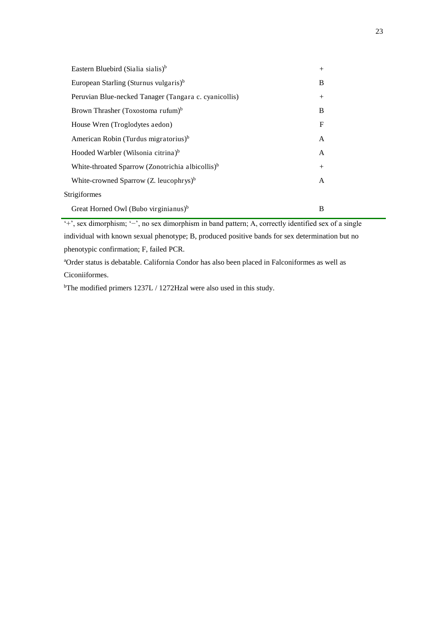| Eastern Bluebird (Sialia sialis) <sup>b</sup>                | $+$         |
|--------------------------------------------------------------|-------------|
| European Starling (Sturnus vulgaris) <sup>b</sup>            | B           |
| Peruvian Blue-necked Tanager (Tangara c. cyanicollis)        | $^{+}$      |
| Brown Thrasher (Toxostoma rufum) <sup>b</sup>                | B           |
| House Wren (Troglodytes aedon)                               | $\mathbf F$ |
| American Robin (Turdus migratorius) <sup>b</sup>             | A           |
| Hooded Warbler (Wilsonia citrina) <sup>b</sup>               | A           |
| White-throated Sparrow (Zonotrichia albicollis) <sup>b</sup> | $+$         |
| White-crowned Sparrow $(Z.$ leucophrys) <sup>b</sup>         | A           |
| Strigiformes                                                 |             |
| Great Horned Owl (Bubo virginianus) <sup>b</sup>             | B           |

'+', sex dimorphism; '−', no sex dimorphism in band pattern; A, correctly identified sex of a single individual with known sexual phenotype; B, produced positive bands for sex determination but no

phenotypic confirmation; F, failed PCR.

<sup>a</sup>Order status is debatable. California Condor has also been placed in Falconiformes as well as Ciconiiformes.

<sup>b</sup>The modified primers 1237L / 1272Hzal were also used in this study.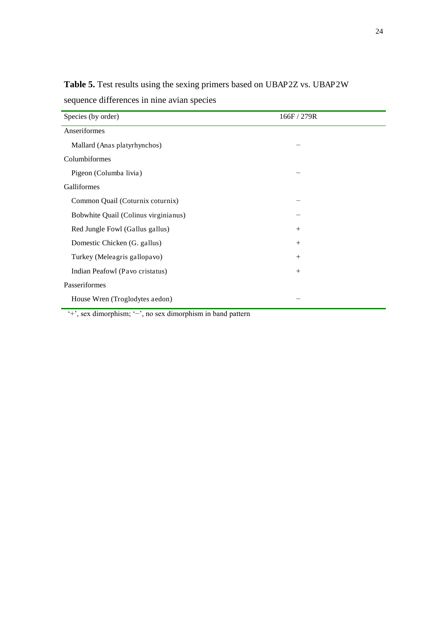| Species (by order)                   | 166F / 279R |
|--------------------------------------|-------------|
| Anseriformes                         |             |
| Mallard (Anas platyrhynchos)         |             |
| Columbiformes                        |             |
| Pigeon (Columba livia)               |             |
| Galliformes                          |             |
| Common Quail (Coturnix coturnix)     |             |
| Bobwhite Quail (Colinus virginianus) |             |
| Red Jungle Fowl (Gallus gallus)      | $^{+}$      |
| Domestic Chicken (G. gallus)         | $^{+}$      |
| Turkey (Meleagris gallopavo)         | $^{+}$      |
| Indian Peafowl (Pavo cristatus)      | $+$         |
| Passeriformes                        |             |
| House Wren (Troglodytes aedon)       |             |

**Table 5.** Test results using the sexing primers based on UBAP2Z vs. UBAP2W sequence differences in nine avian species

'+', sex dimorphism; '−', no sex dimorphism in band pattern